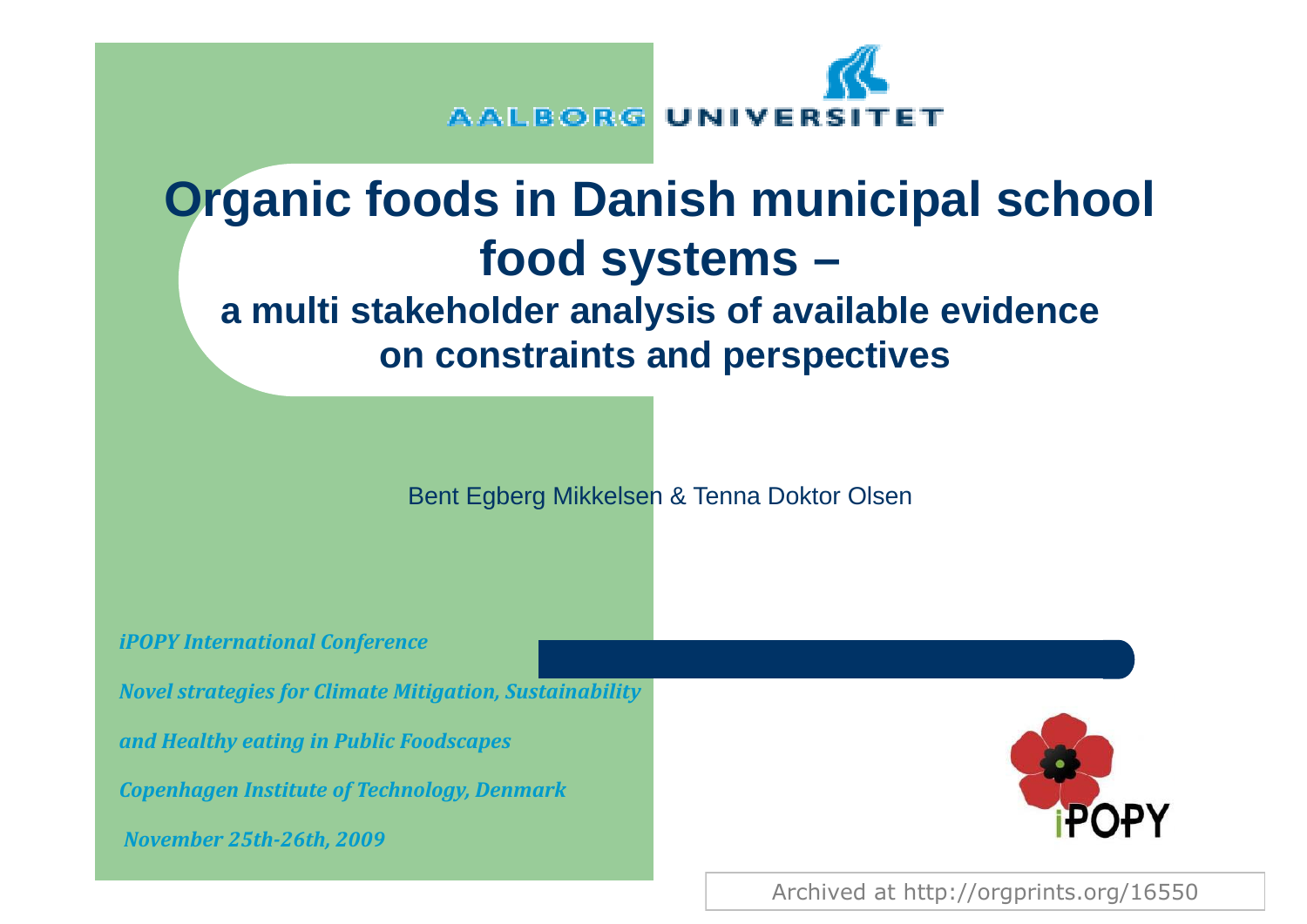

# **Organic foods in Danish municipal school food systems**

#### **a multi stakeholder analysis of available evidence on constraints and perspectives**

Bent Egberg Mikkelsen & Tenna Doktor Olsen

*iPOPY International Conference*

*Novel strategies for Climate Mitigation, Sustainability*

*and Healthy eating in Public Foodscapes*

*Copenhagen Institute of Technology, Denmark*

*November 25th26th, 2009*



Archived at http://orgprints.org/16550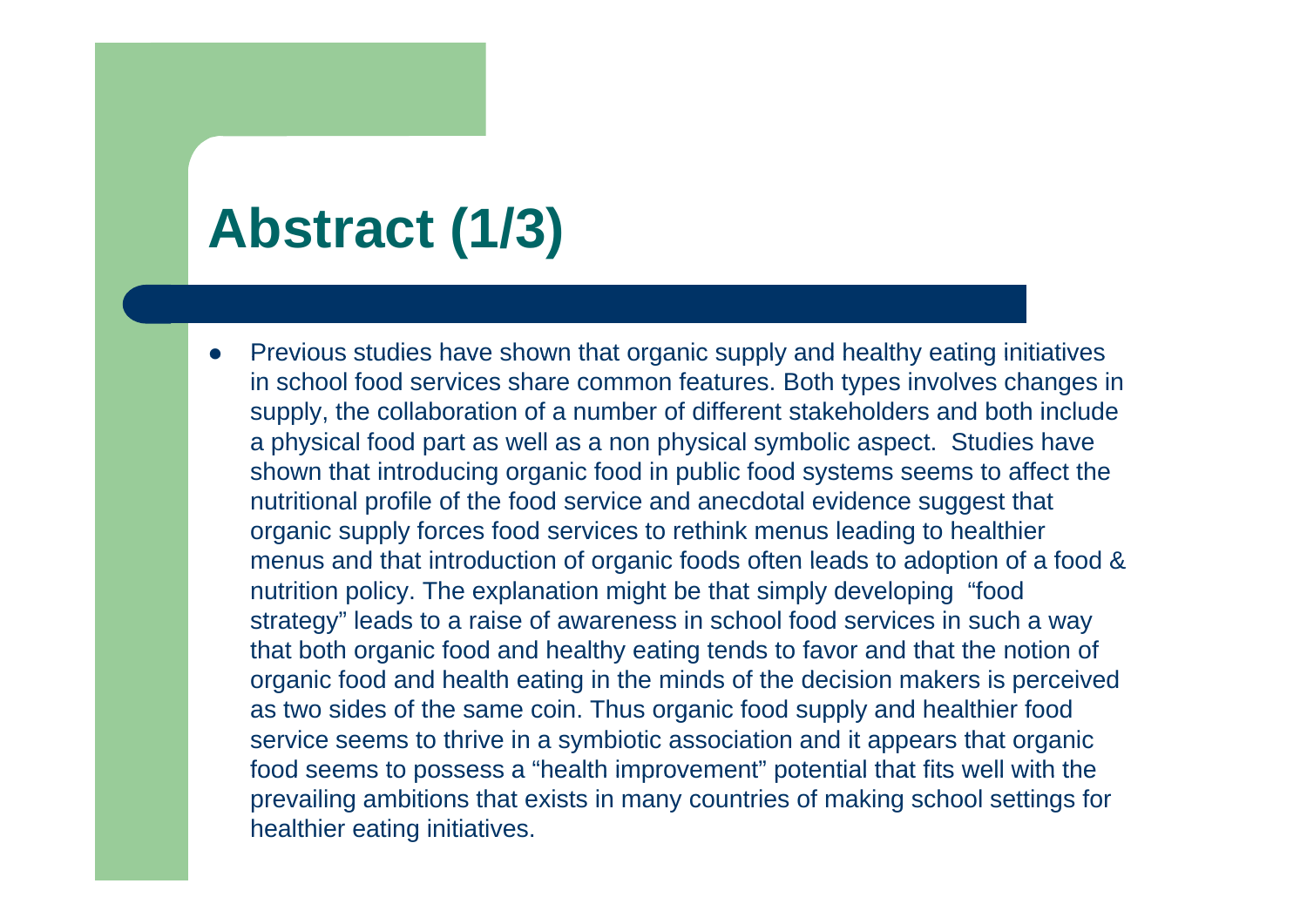## **Abstract ( ) 1/3**

 $\bullet$ Previous studies have shown that organic supply and healthy eating initiatives in school food services share common features. Both types involves changes in supply, the collaboration of a number of different stakeholders and both include a physical food part as well as a non physical symbolic aspect. Studies have shown that introducing organic food in public food systems seems to affect the nutritional profile of the food service and anecdotal evidence suggest that organic supply forces food services to rethink menus leading to healthier menus and that introduction of organic foods often leads to adoption of a food & nutrition policy. The explanation might be that simply developing "food strategy" leads to a raise of awareness in school food services in such a way that both organic food and healthy eating tends to favor and that the notion of organic food and health eating in the minds of the decision makers is perceived as two sides of the same coin. Thus organic food supply and healthier food service seems to thrive in a symbiotic association and it appears that organic food seems to possess a "health improvement" potential that fits well with the prevailing ambitions that exists in many countries of making school settings for healthier eating initiatives.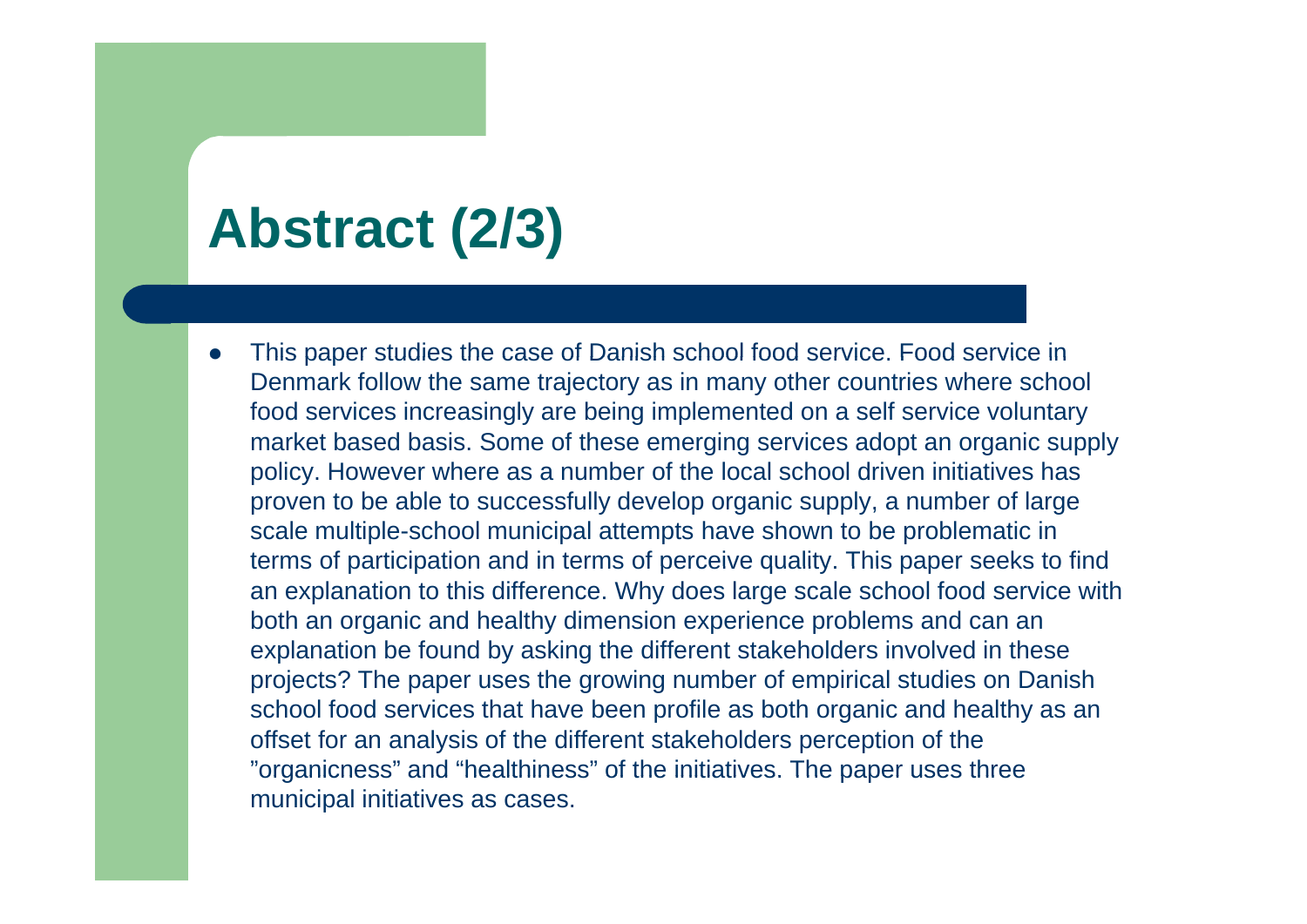## **Abstract ( ) 2/3**

 $\bullet$ This paper studies the case of Danish school food service. Food service in Denmark follow the same trajectory as in many other countries where school food services increasingly are being implemented on a self service voluntary market based basis. Some of these emerging services adopt an organic supply policy. However where as a number of the local school driven initiatives has proven to be able to successfully develop organic supply, a number of large scale multiple-school municipal attempts have shown to be problematic in terms of participation and in terms of perceive quality. This paper seeks to find an explanation to this difference. Why does large scale school food service with both an organic and healthy dimension experience problems and can an explanation be found by asking the different stakeholders involved in these projects? The paper uses the growing number of empirical studies on Danish school food services that have been profile as both organic and healthy as an offset for an analysis of the different stakeholders perception of the "organicness" and "healthiness" of the initiatives. The paper uses three municipal initiatives as cases.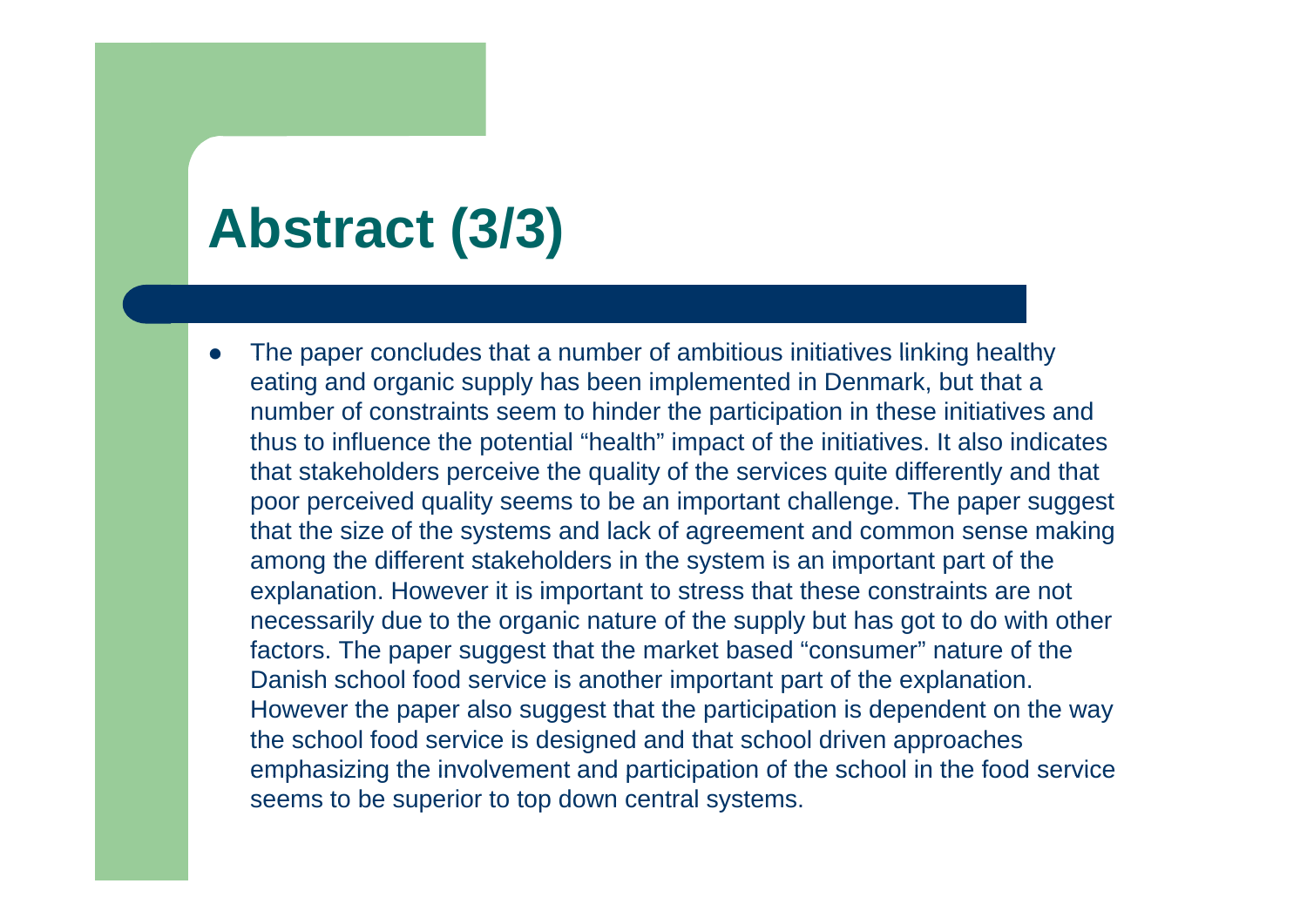### **Abstract ( ) 3/3**

 $\bullet$ The paper concludes that a number of ambitious initiatives linking healthy eating and organic supply has been implemented in Denmark, but that a number of constraints seem to hinder the participation in these initiatives and thus to influence the potential "health" impact of the initiatives. It also indicates that stakeholders perceive the quality of the services quite differently and that poor perceived quality seems to be an important challenge. The paper suggest that the size of the systems and lack of agreement and common sense making among the different stakeholders in the system is an important part of the explanation. However it is important to stress that these constraints are not necessarily due to the organic nature of the supply but has got to do with other factors. The paper suggest that the market based "consumer" nature of the Danish school food service is another important part of the explanation. However the paper also suggest that the participation is dependent on the way the school food service is designed and that school driven approaches emphasizing the involvement and participation of the school in the food service seems to be superior to top down central systems.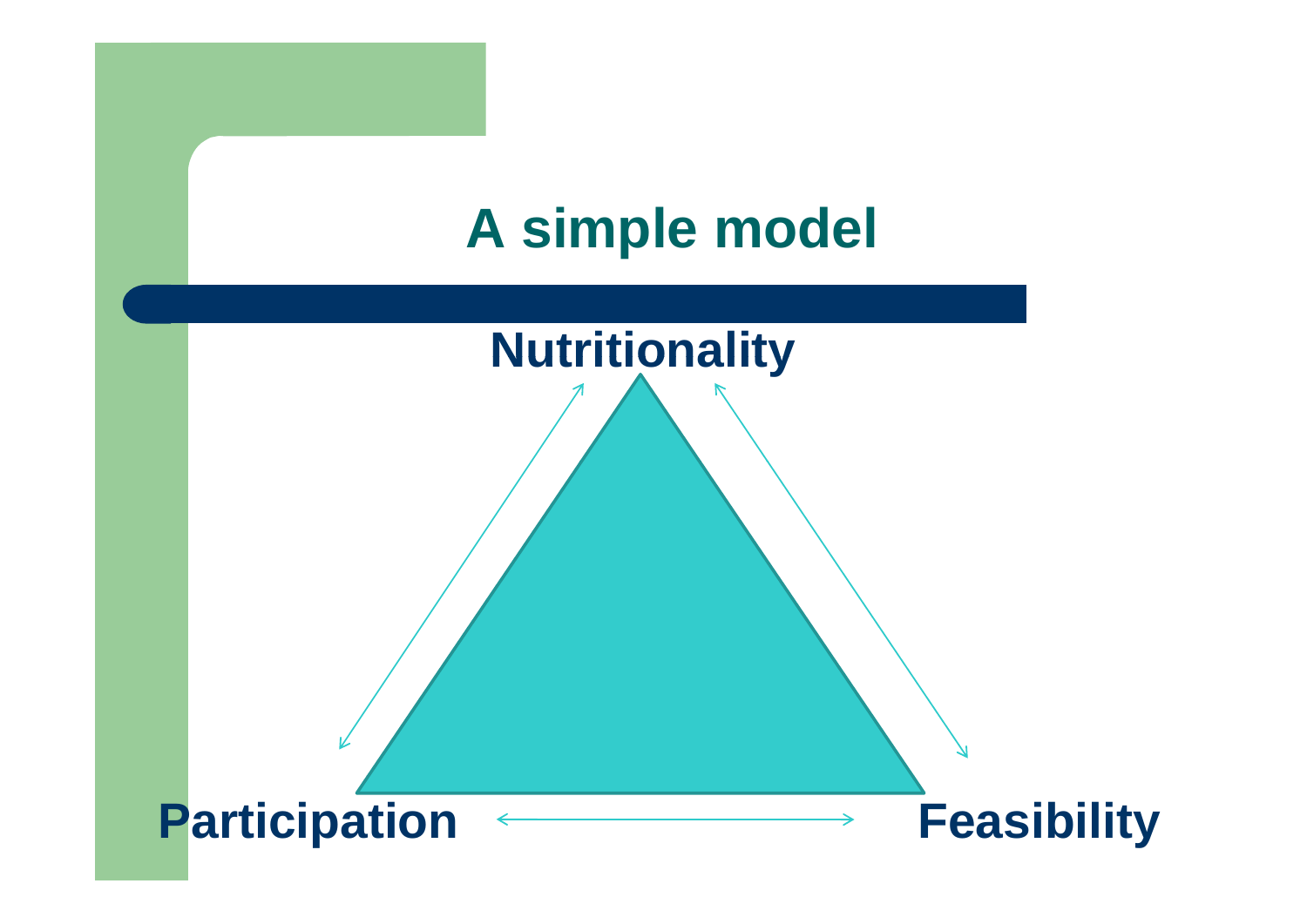

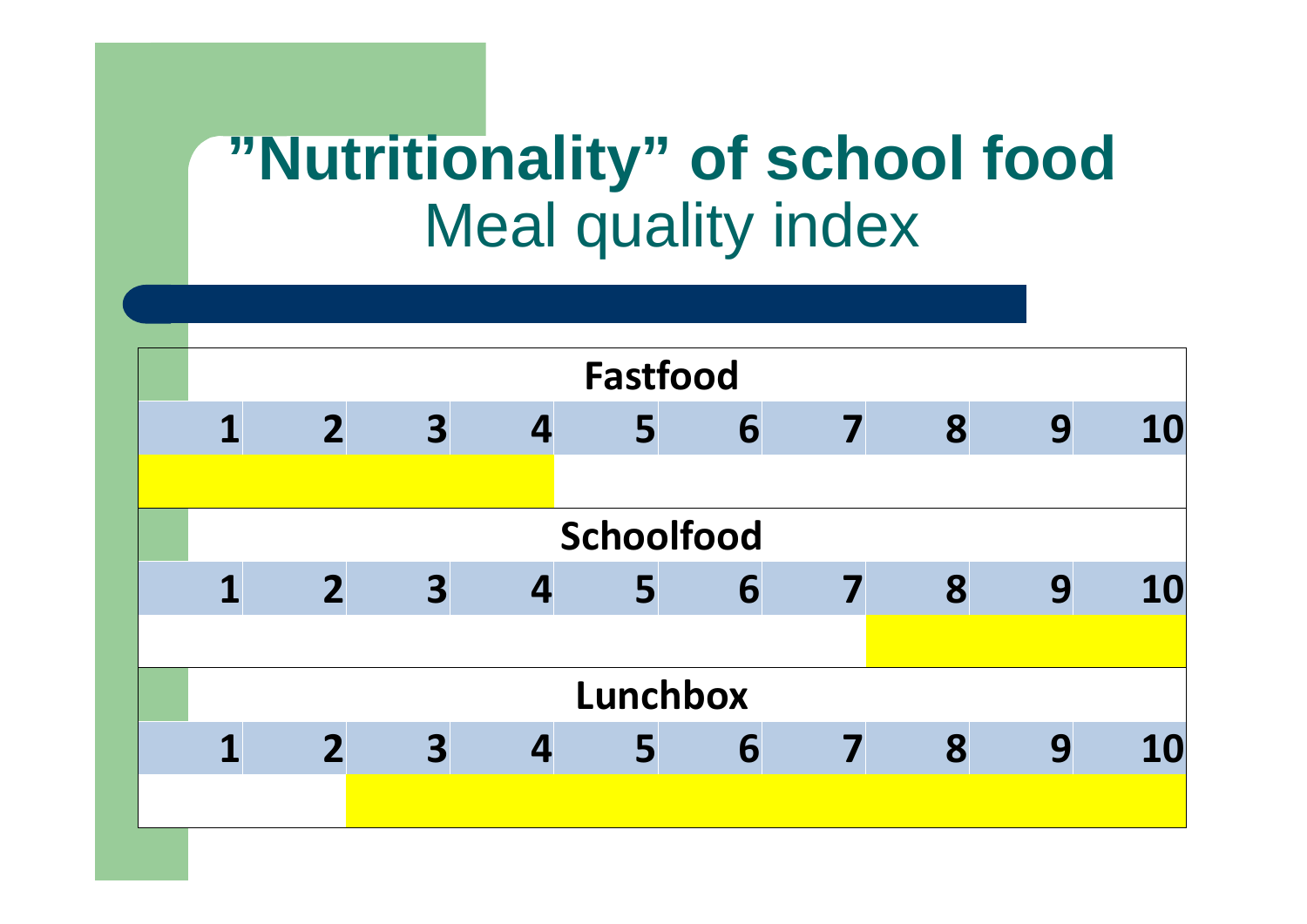# **"N tritionalit " of school food utritionalit y** Meal quality index

| <b>Fastfood</b> |                         |                         |                  |   |   |   |   |   |           |  |
|-----------------|-------------------------|-------------------------|------------------|---|---|---|---|---|-----------|--|
| 1               | $\overline{2}$          | $\overline{\mathbf{3}}$ | $\boldsymbol{4}$ | 5 | 6 | 7 | 8 | 9 | 10        |  |
|                 |                         |                         |                  |   |   |   |   |   |           |  |
| Schoolfood      |                         |                         |                  |   |   |   |   |   |           |  |
|                 | $\overline{2}$          | $\overline{\mathbf{3}}$ | $\boldsymbol{4}$ | 5 | 6 |   | 8 | 9 | <b>10</b> |  |
|                 |                         |                         |                  |   |   |   |   |   |           |  |
| <b>Lunchbox</b> |                         |                         |                  |   |   |   |   |   |           |  |
|                 | $\overline{\mathbf{2}}$ | 3                       |                  | 5 | 6 |   | 8 | 9 | <b>10</b> |  |
|                 |                         |                         |                  |   |   |   |   |   |           |  |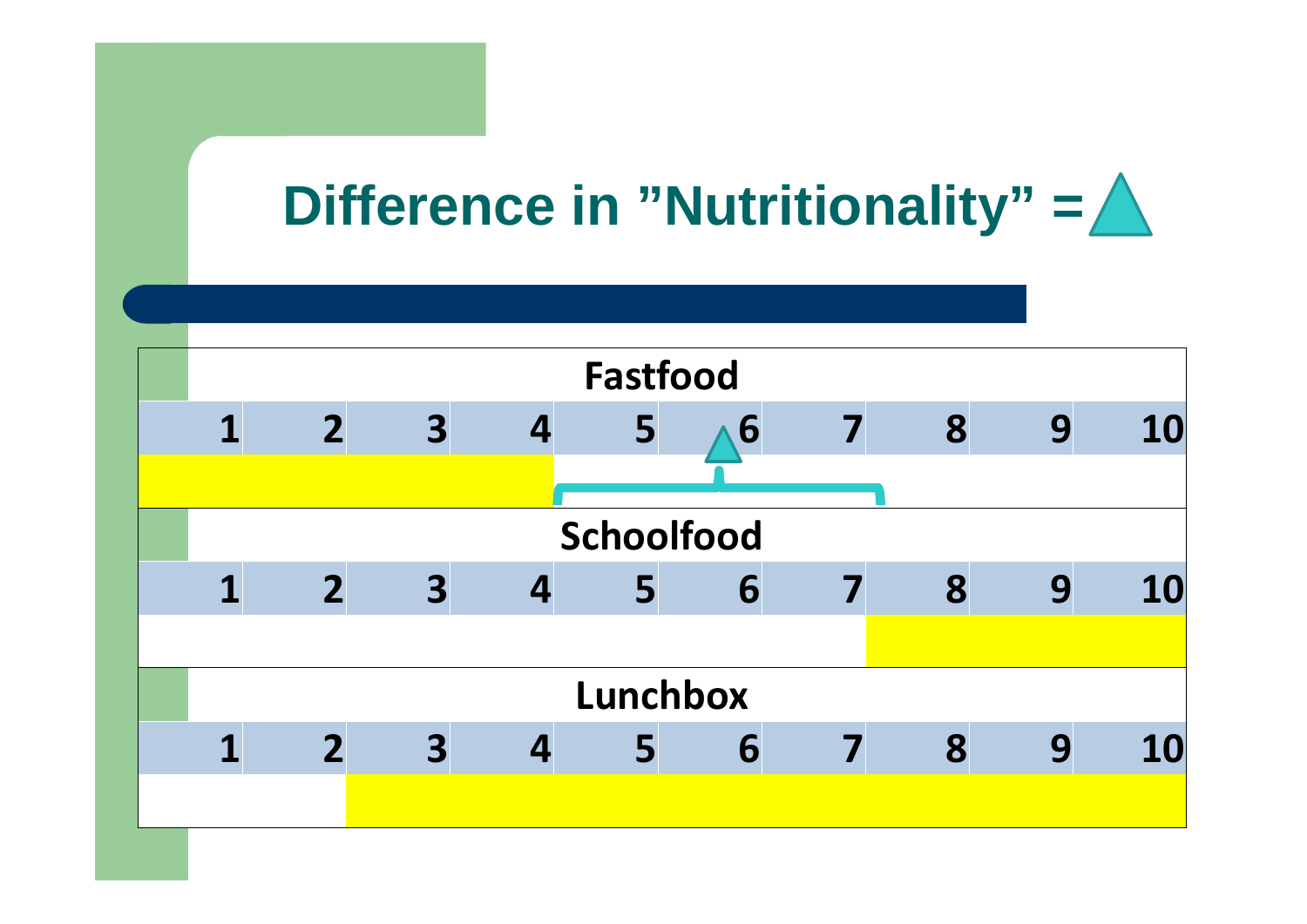# Difference in "Nutritionality" =  $\triangle$

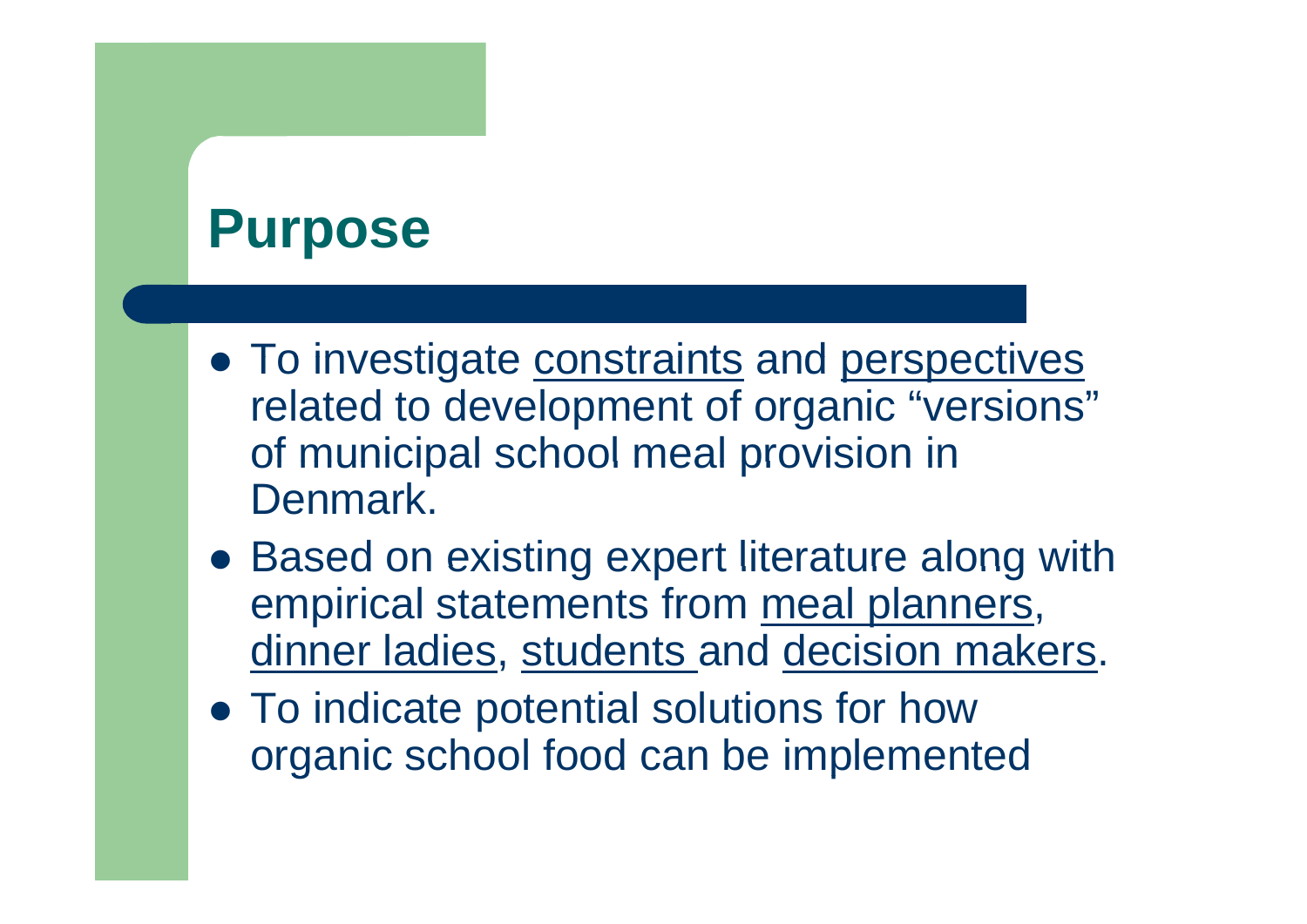#### **Purpose**

- **To investigate constraints and perspectives** related to development of organic "versions" of municipal school meal provision in **Denmark**
- Based on existing expert literature along with with empirical statements from meal planners, dinner ladies, students and decision makers.
- To indicate potential solutions for how organic school food can be implemented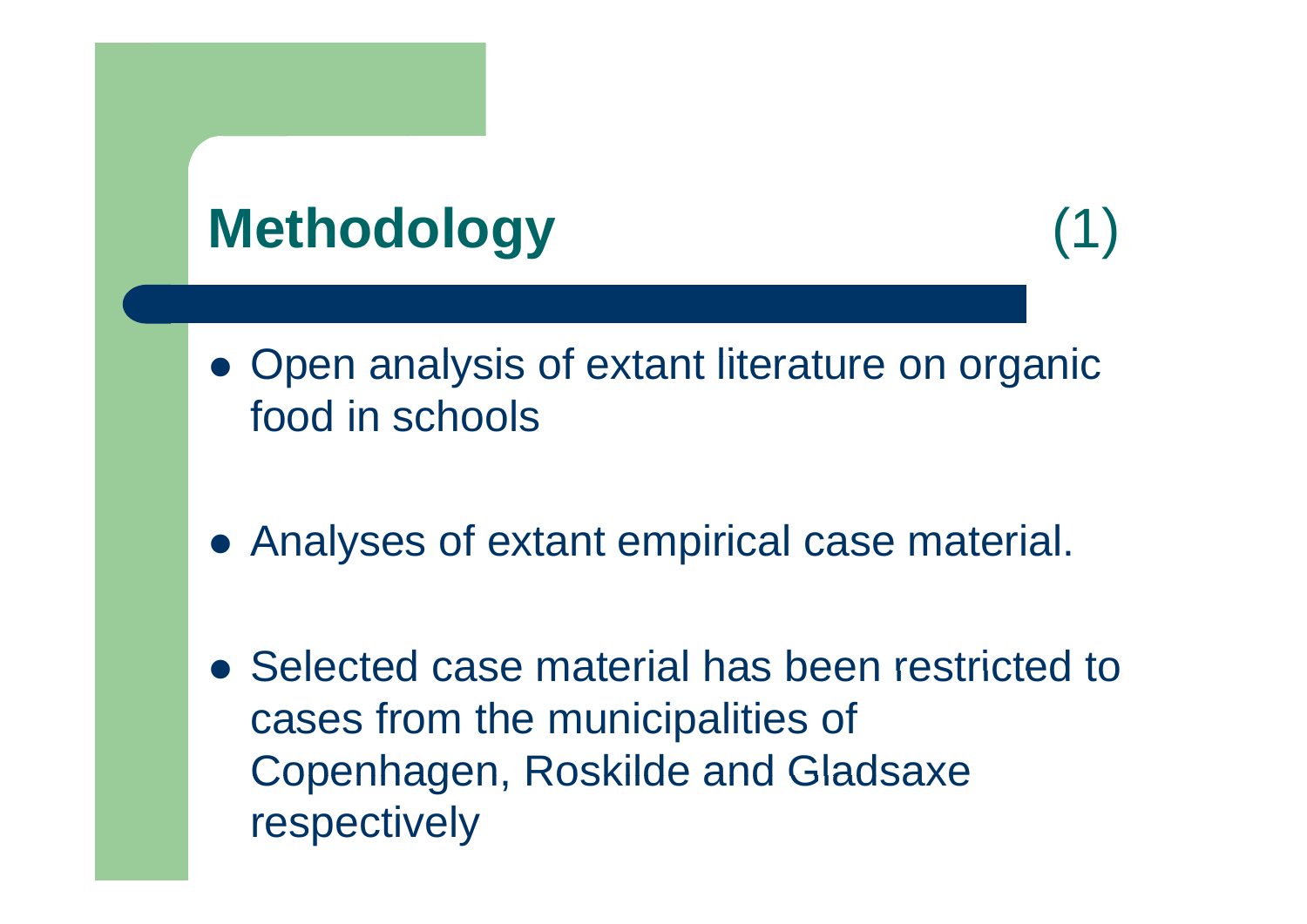# **Methodology** (1)

- $\bullet$  Open analysis of extant literature on organic food in schools
- Analyses of extant empirical case material.
- Selected case material has been restricted to cases from the municipalities of Copenhagen, Roskilde and Gladsaxe respectively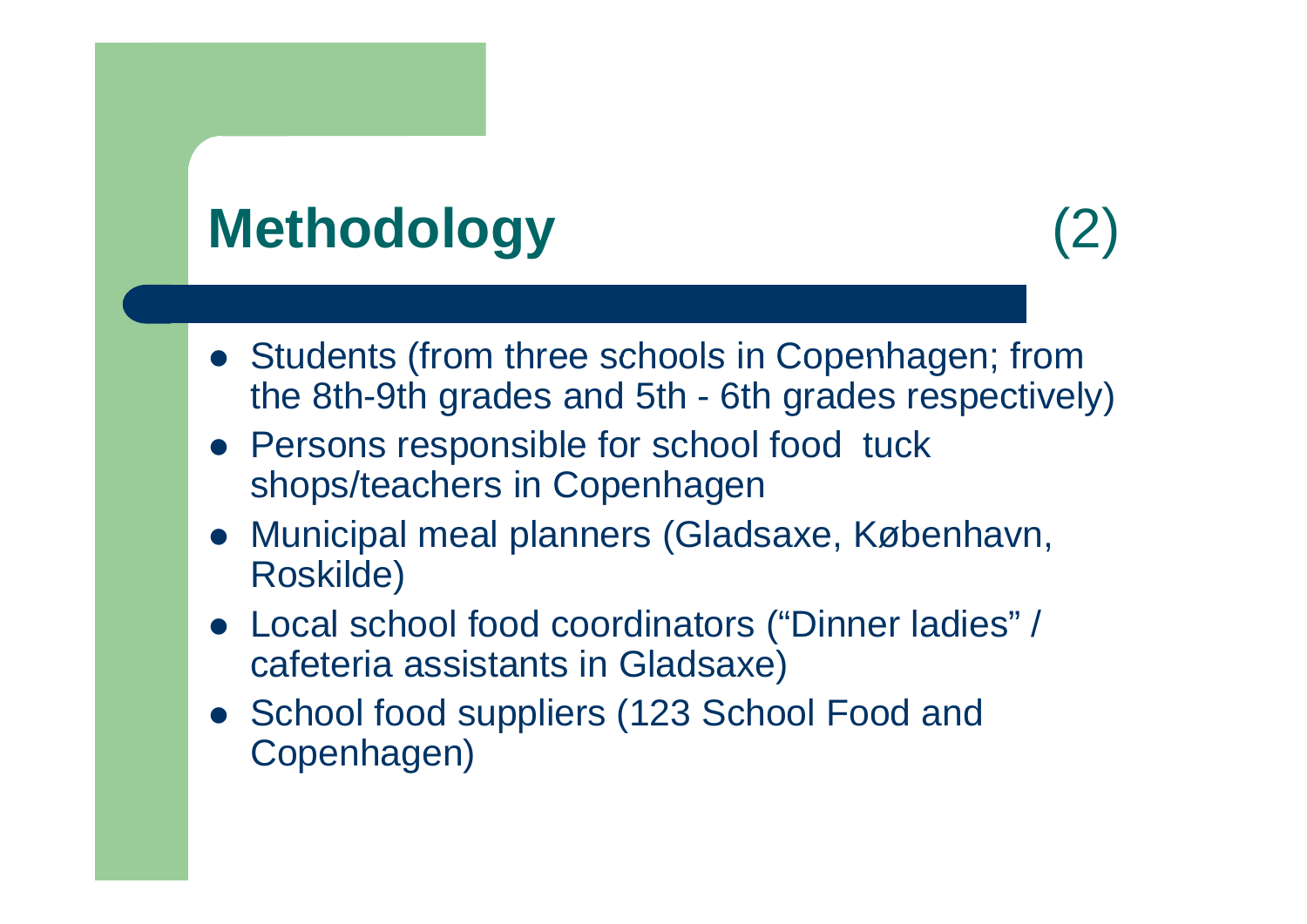## **Methodology** (2)

- Students (from three schools in Copenhagen; from the 8th-9th grades and 5th - 6th grades respectively)
- Persons responsible for school food tuck shops/teachers in Copenhagen
- Municipal meal planners (Gladsaxe, København, Roskilde)
- Local school food coordinators ("Dinner ladies" / cafeteria assistants in Gladsaxe)
- School food suppliers (123 School Food and Copenhagen)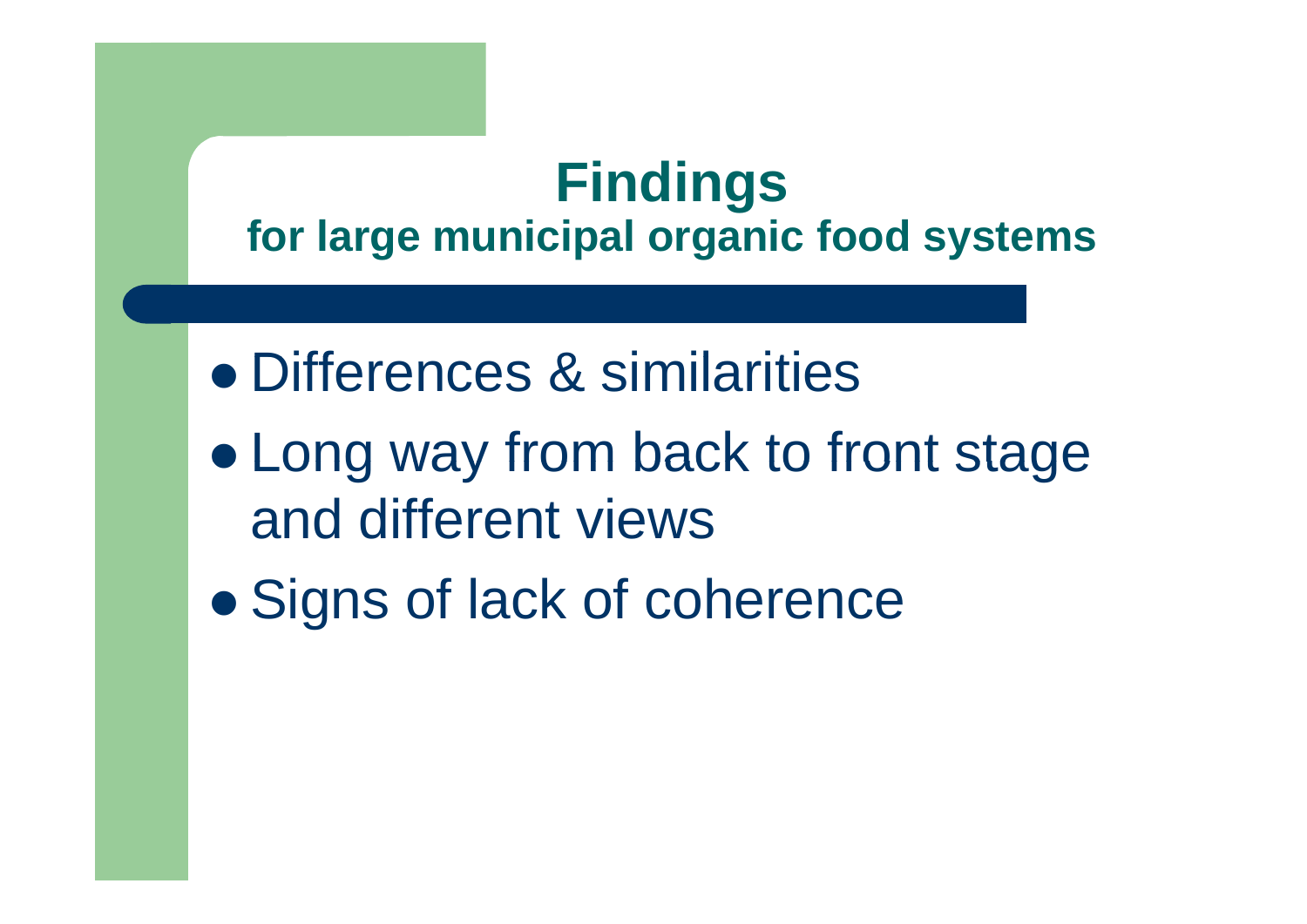#### **Findings for large municipal organic food systems**

- Differences & similarities
- $\bullet$  $\bullet$  Long way from back to front stage and different views
- $\bullet$ Signs of lack of coherence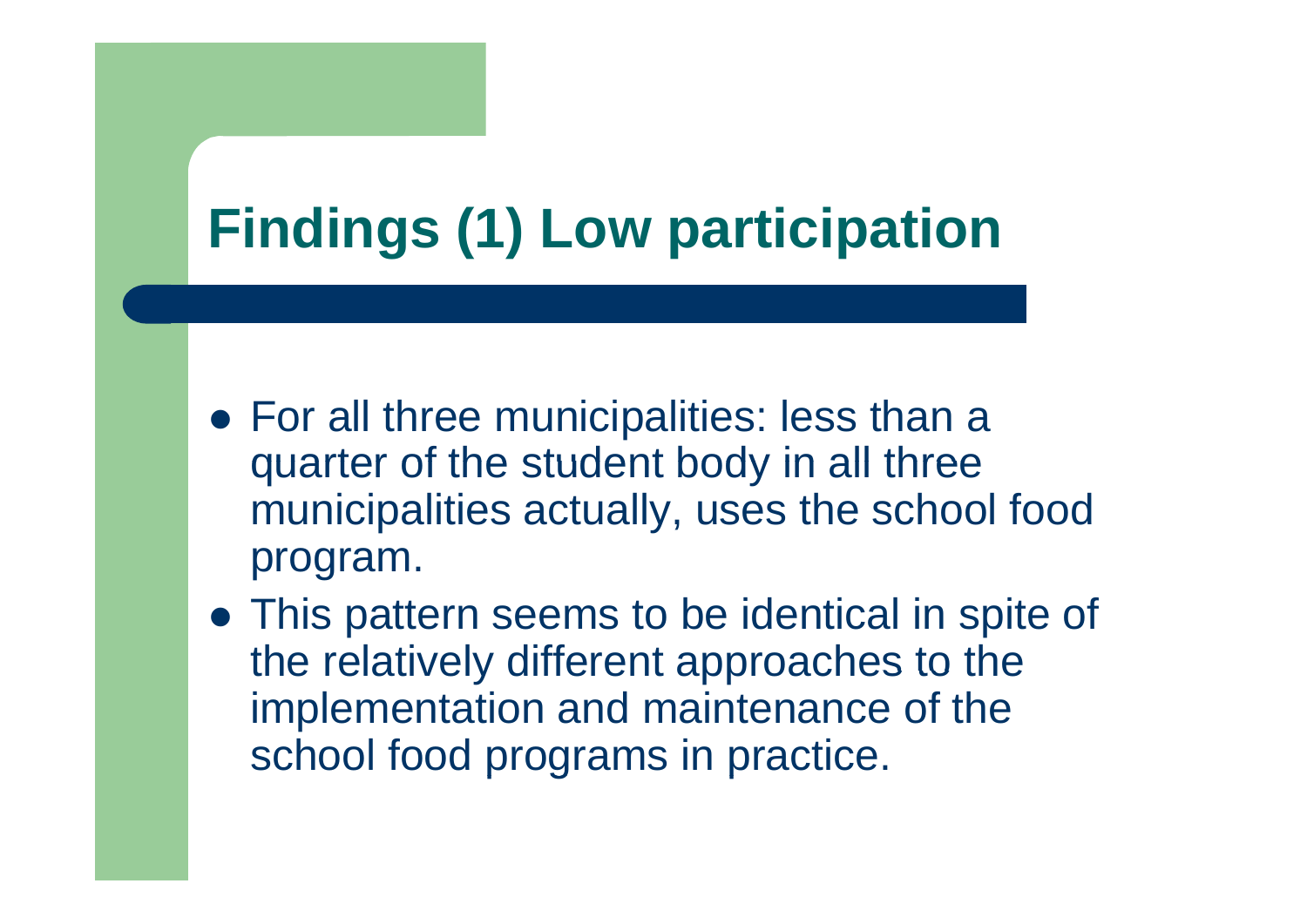# **Findings (1) Low participation**

- For all three municipalities: less than a quarter of the student body in all three municipalities actually, uses the school food program.
- This pattern seems to be identical in spite of the relatively different approaches to the implementation and maintenance of the school food programs in practice.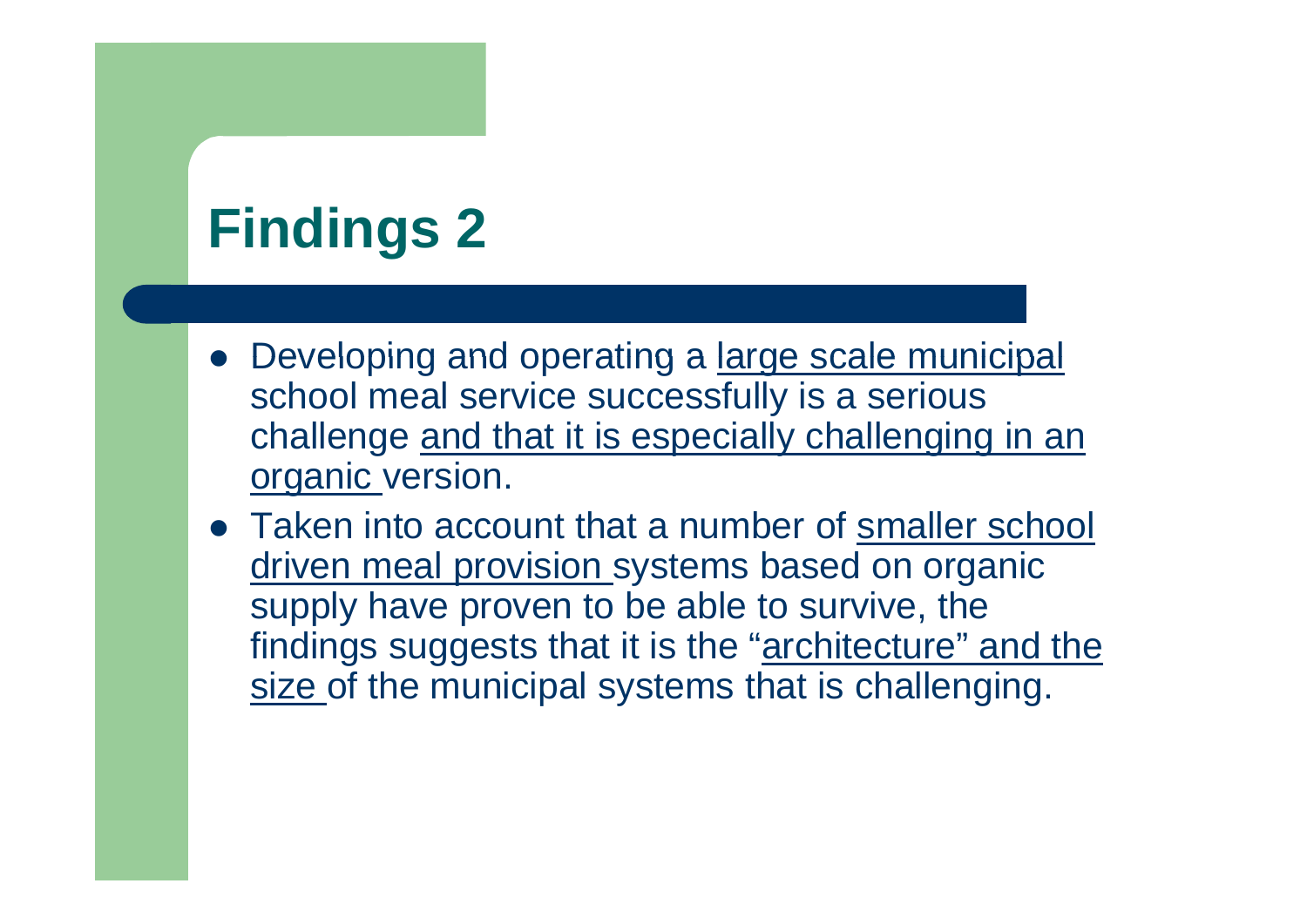## **Findings 2**

- Developing and operating a large scale municipal school meal service successfully is a serious challenge and that it is especially challenging in an organic version.
- Taken into account that a number of smaller school driven meal provision systems based on organic supply have proven to be able to survive, the findings suggests that it is the "architecture" and the size of the municipal systems that is challenging.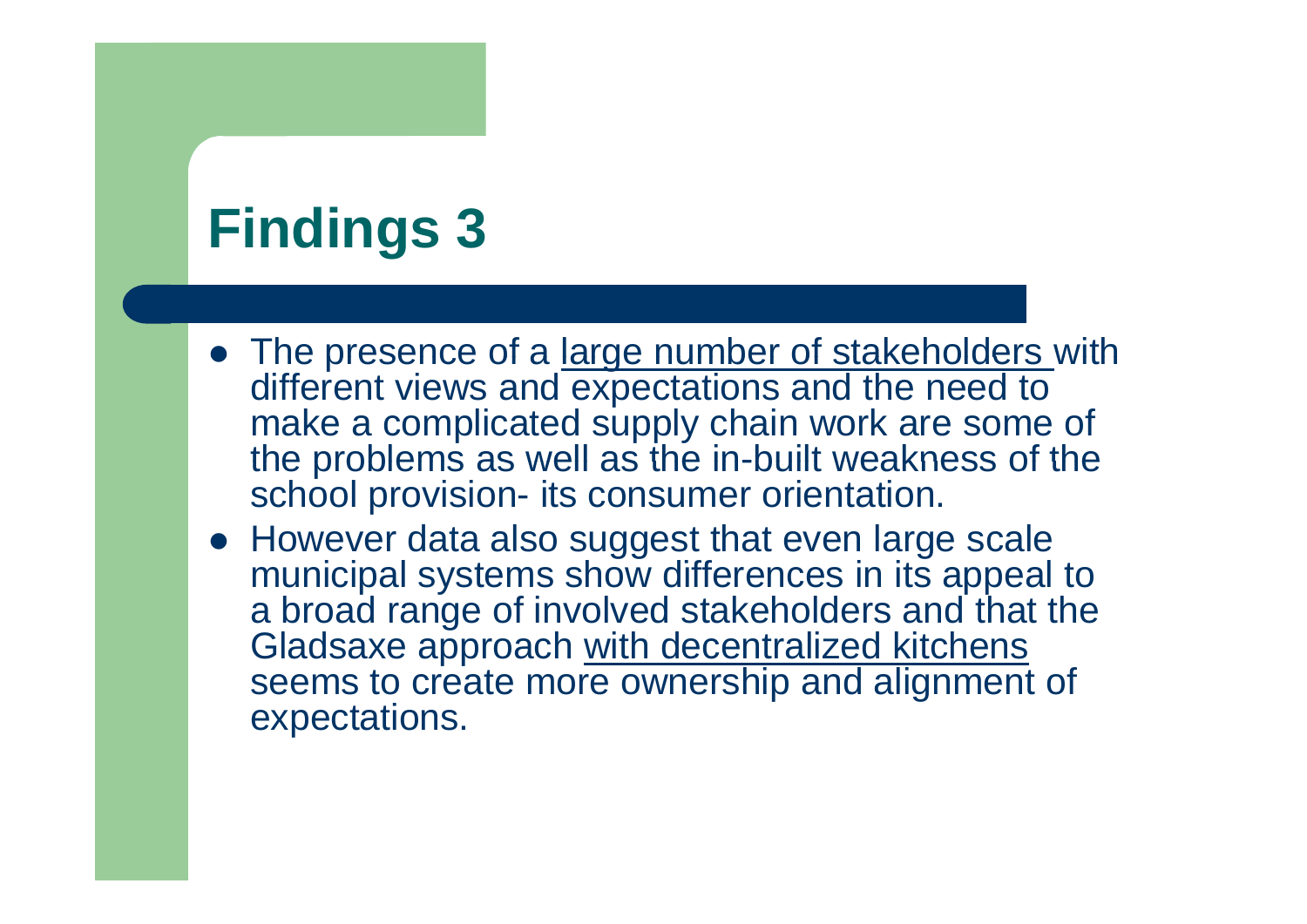## **Findin gs 3**

- The presence of a large number of stakeholders with different views and expectations and the need to make a complicated supply chain work are some of the problems as well as the in-built weakness of the school provision- its consumer orientation.
- However data also suggest that even large scale municipal systems show differences in its appeal to a broad range of involved stakeholders and that the Gladsaxe approach with decentralized kitchens seems to create more ownership and alignment of expectations.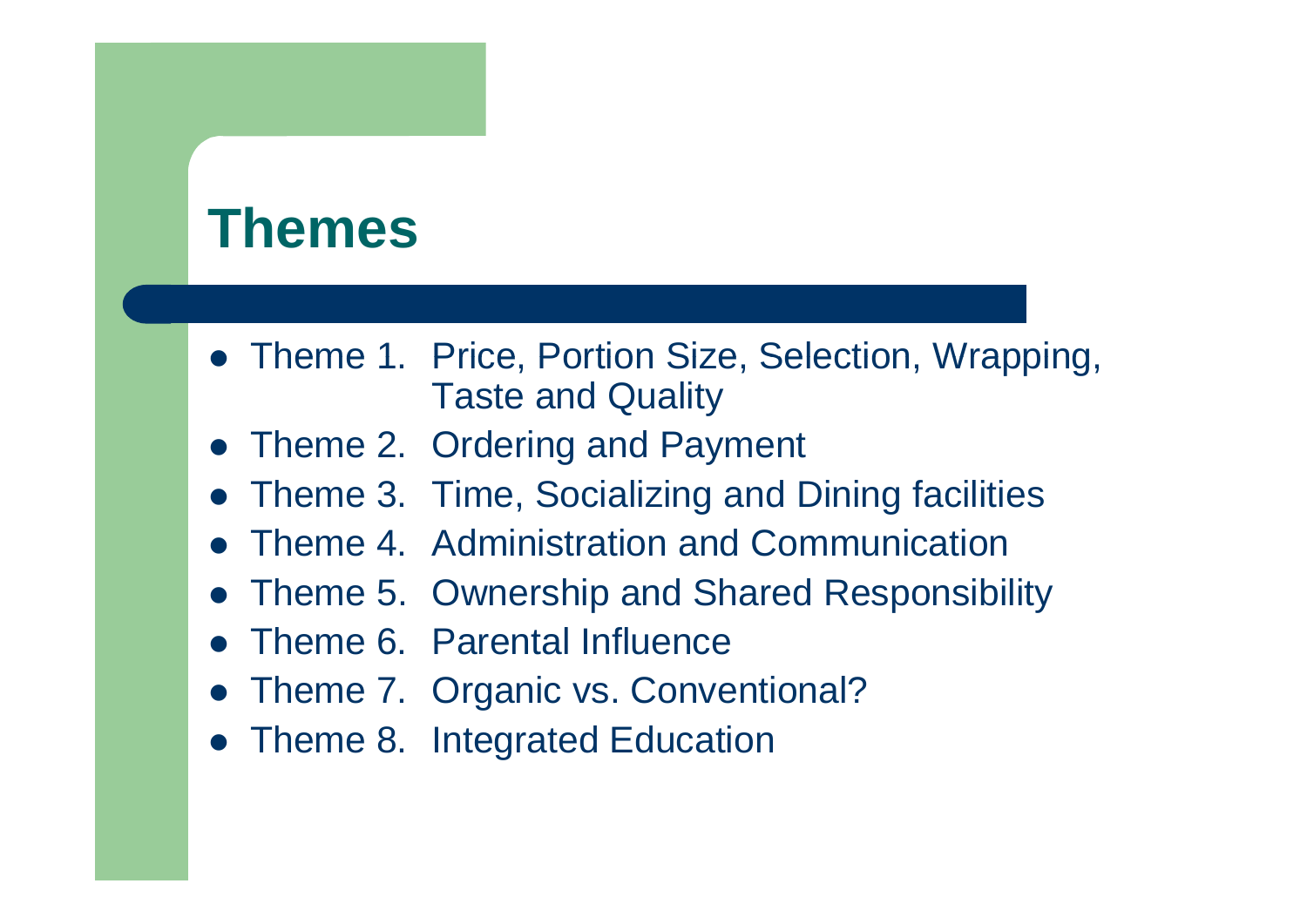#### **Themes**

- Theme 1. Price, Portion Size, Selection, Wrapping, Taste and Quality
- Theme 2. Ordering and Payment
- Theme 3. Time, Socializing and Dining facilities
- $\bullet$ Theme 4. Administration and Communication
- Theme 5. Ownership and Shared Responsibility
- Theme 6. Parental Influence
- Theme 7. Organic vs. Conventional?
- Theme 8. Integrated Education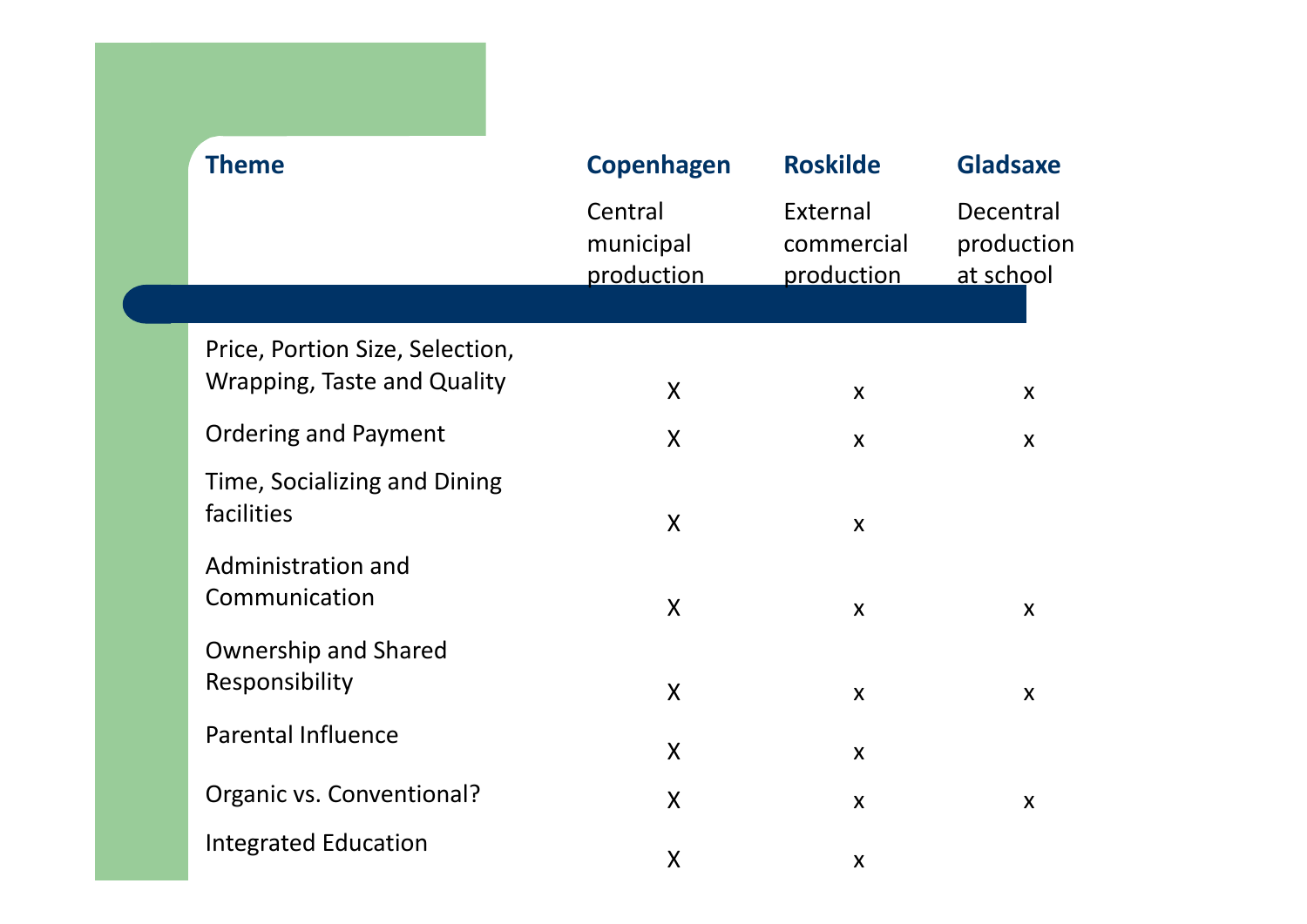| <b>Theme</b>                                                          | <b>Copenhagen</b>                  | <b>Roskilde</b>                      | <b>Gladsaxe</b>                      |  |
|-----------------------------------------------------------------------|------------------------------------|--------------------------------------|--------------------------------------|--|
|                                                                       | Central<br>municipal<br>production | External<br>commercial<br>production | Decentral<br>production<br>at school |  |
|                                                                       |                                    |                                      |                                      |  |
| Price, Portion Size, Selection,<br><b>Wrapping, Taste and Quality</b> | $\mathsf{X}$                       | $\boldsymbol{X}$                     | X                                    |  |
| <b>Ordering and Payment</b>                                           | $\boldsymbol{X}$                   | $\boldsymbol{X}$                     | X                                    |  |
| Time, Socializing and Dining<br>facilities                            | $\sf X$                            | $\boldsymbol{X}$                     |                                      |  |
| Administration and<br>Communication                                   | $\sf X$                            | X                                    | X                                    |  |
| <b>Ownership and Shared</b><br>Responsibility                         | $\mathsf{X}$                       | $\boldsymbol{\mathsf{X}}$            | X                                    |  |
| <b>Parental Influence</b>                                             | $\mathsf{X}$                       | X                                    |                                      |  |
| Organic vs. Conventional?                                             | $\mathsf{X}$                       | X                                    | $\boldsymbol{\mathsf{X}}$            |  |
| <b>Integrated Education</b>                                           | X                                  | X                                    |                                      |  |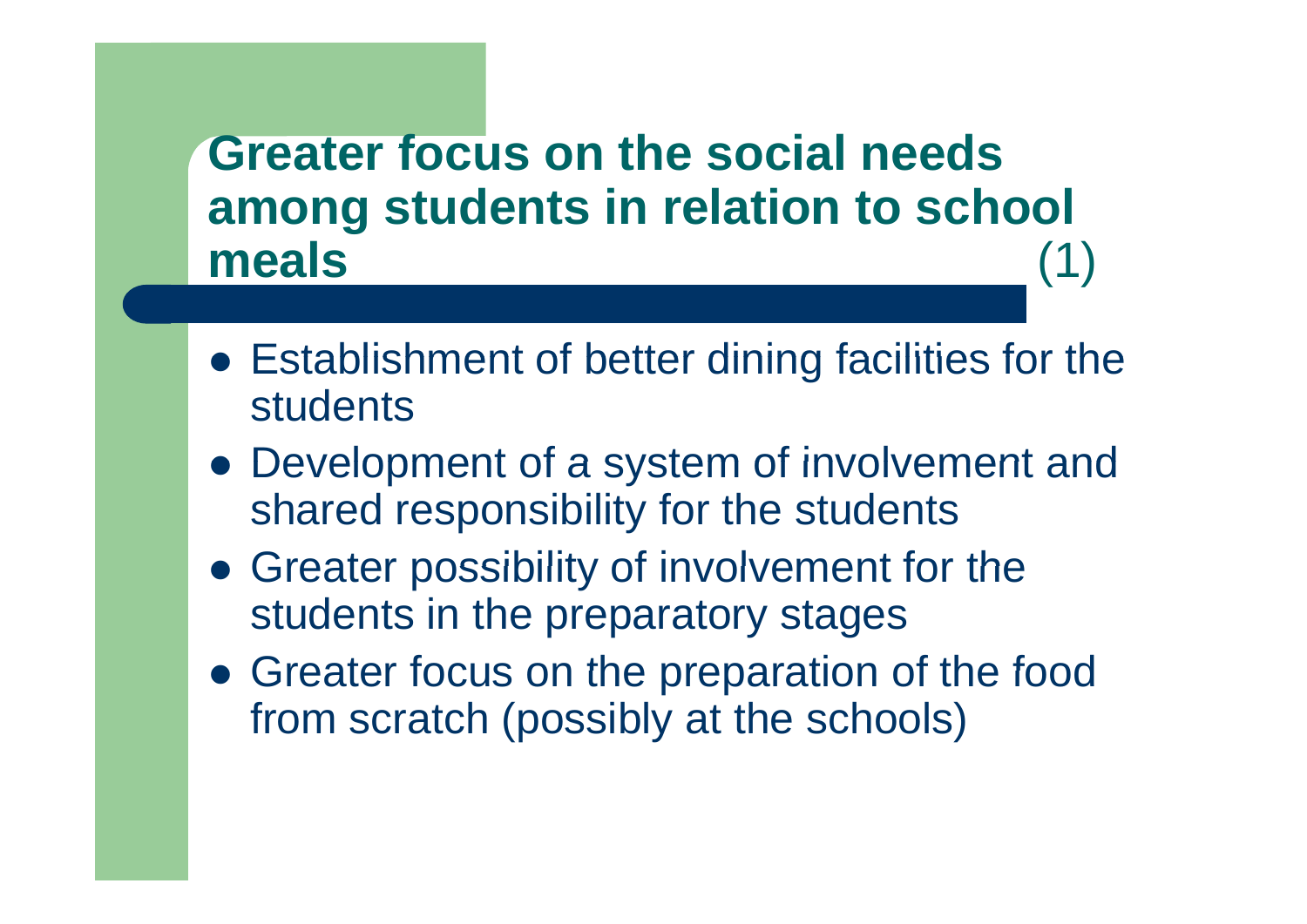#### **Greater focus on the social needs on social among students in relation to school meals**S (1)

- $\bullet$  Establishment of better dining facilities for the students
- Development of a system of involvement and shared responsibility for the students
- Greater possibility of involvement for the students in the preparatory stages
- Greater focus on the preparation of the food from scratch (possibly at the schools)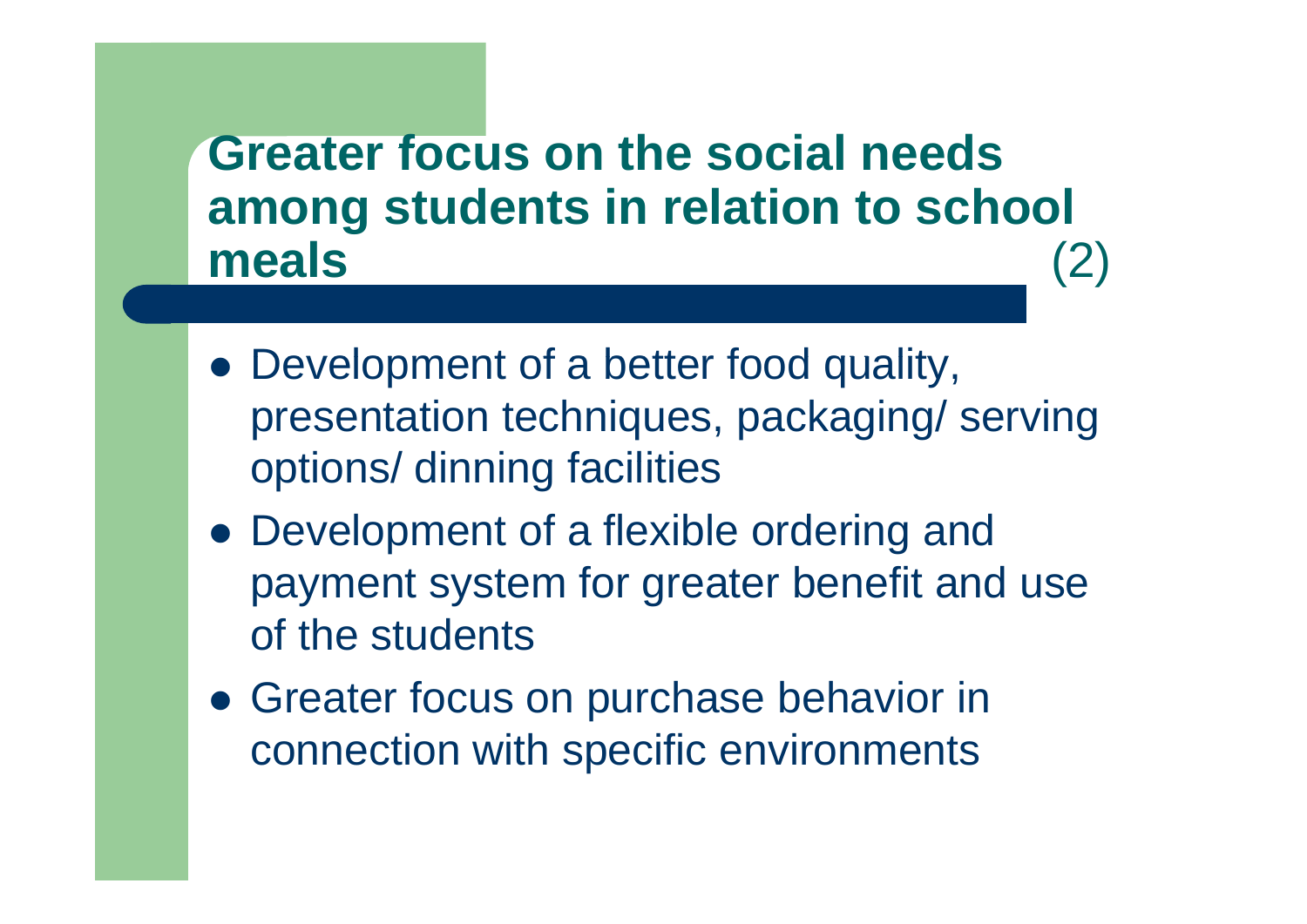#### **Greater focus on the social needs on social among students in relation to school meals**S (2)

- Development of a better food quality, presentation techniques, packaging/ serving options/ dinning facilities
- Development of a flexible ordering and payment system for greater benefit and use of the students
- **Greater focus on purchase behavior in** connection with specific environments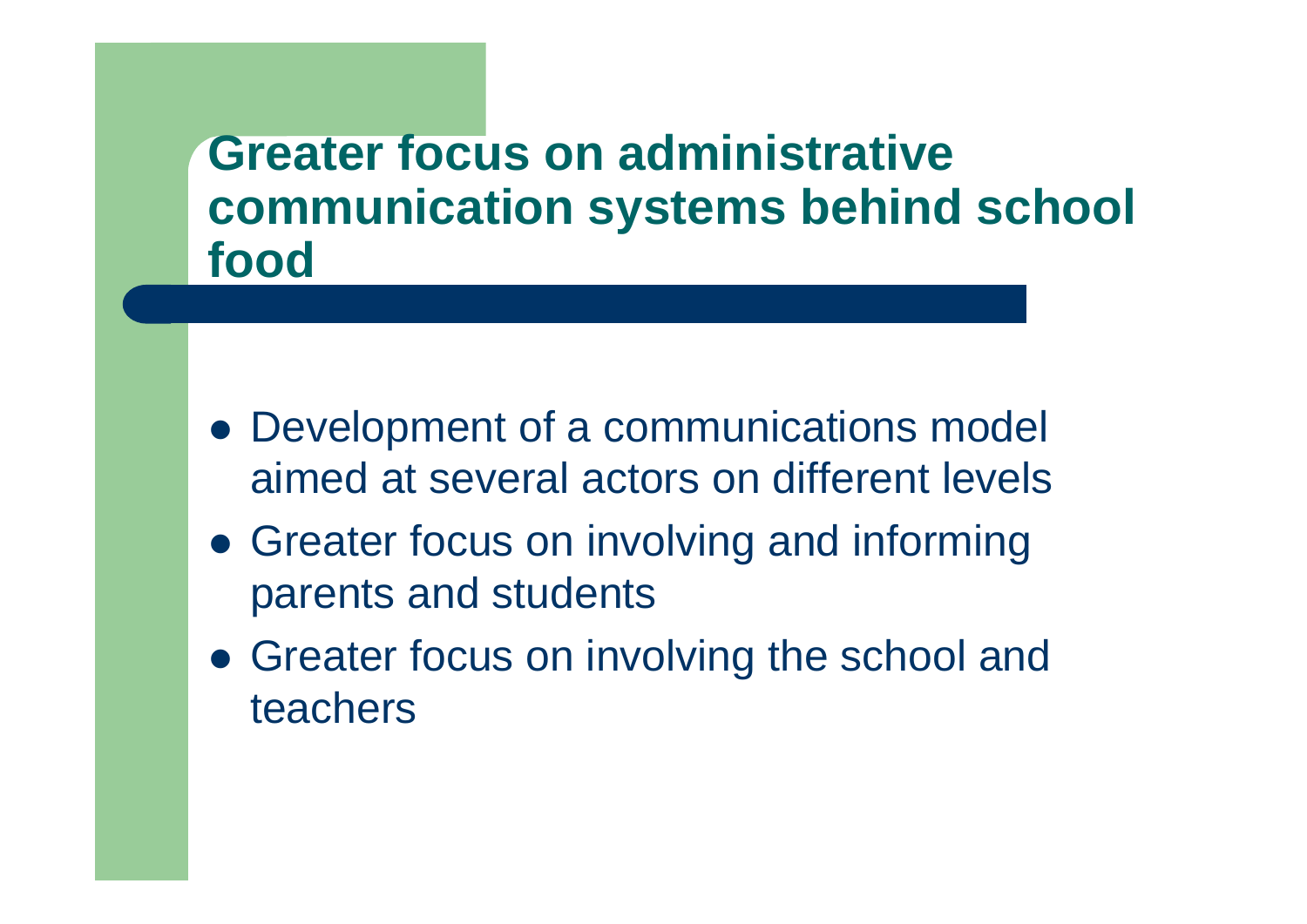#### **Greater focus on administrative communication systems behind school food**

- Development of a communications model aimed at several actors on different levels
- Greater focus on involving and informing parents and students
- Greater focus on involving the school and teachers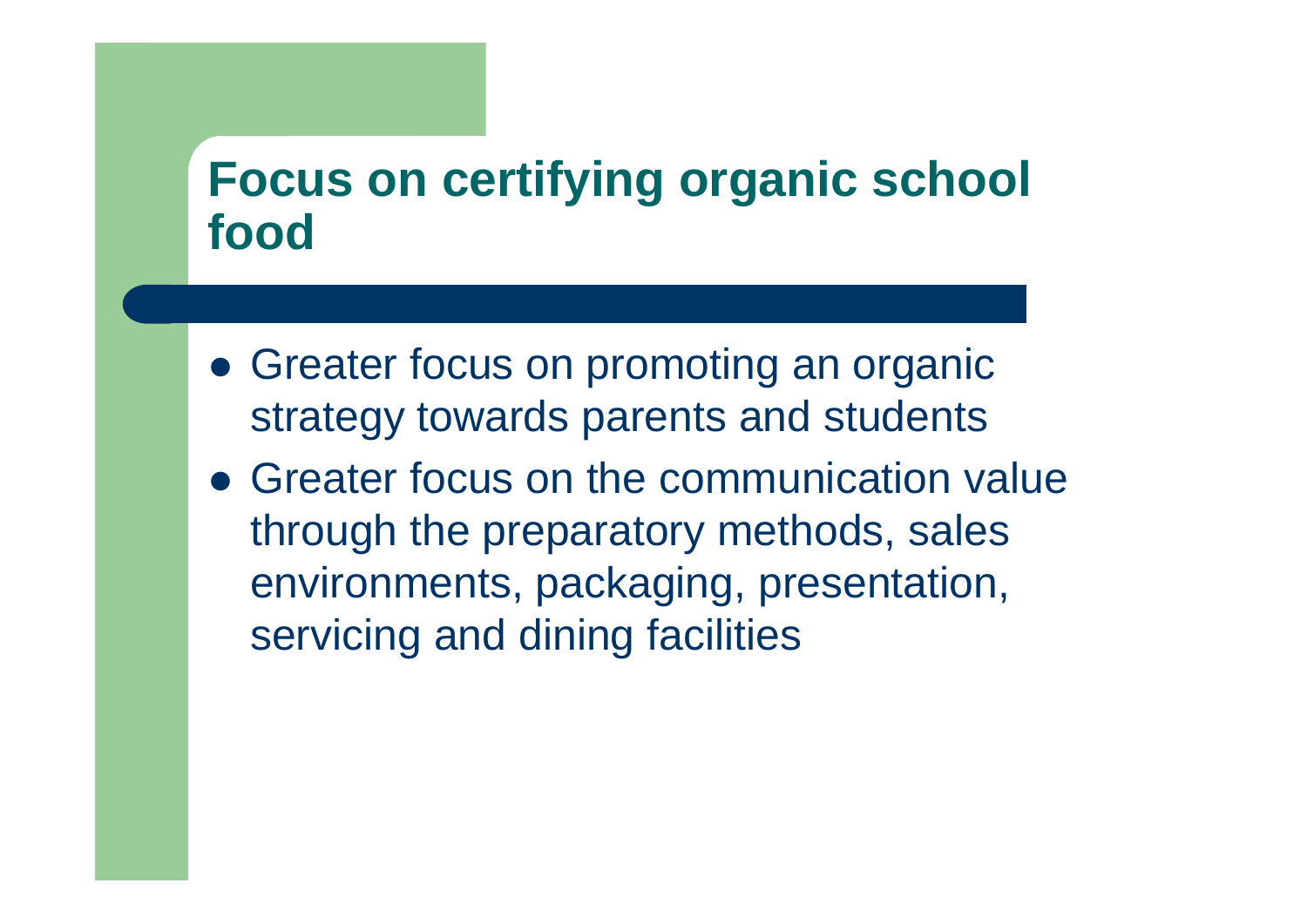#### **Focus on certifying organic school food**

- Greater focus on promoting an organic strategy towards parents and students
- Greater focus on the communication value through the preparatory methods, sales environments, packaging, presentation, servicing and dining facilities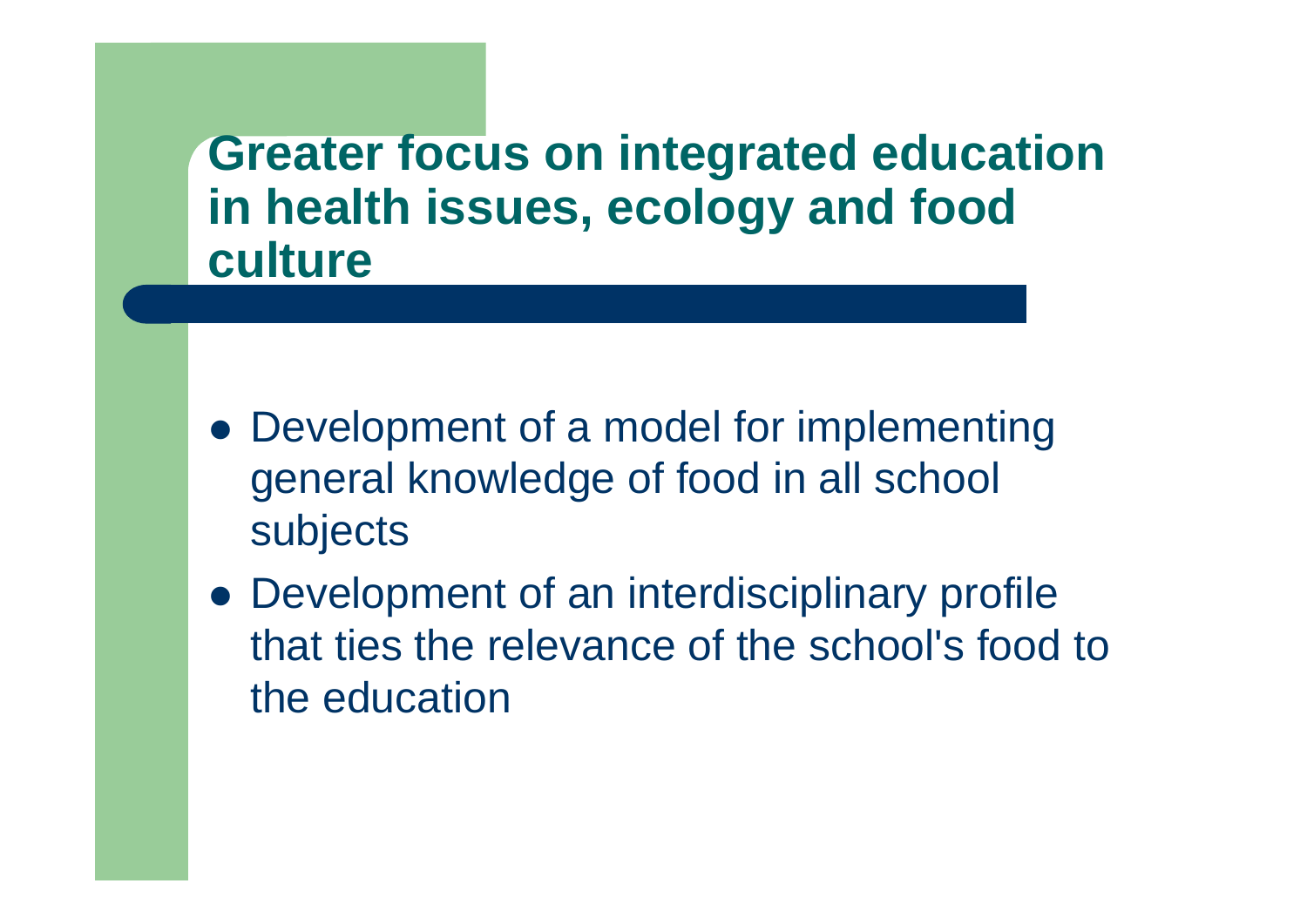**Greater focus on integrated education in health issues, ecology and food culture**

- Development of a model for implementing general knowledge of food in all school subjects
- Development of an interdisciplinary profile that ties the relevance of the school's food to the education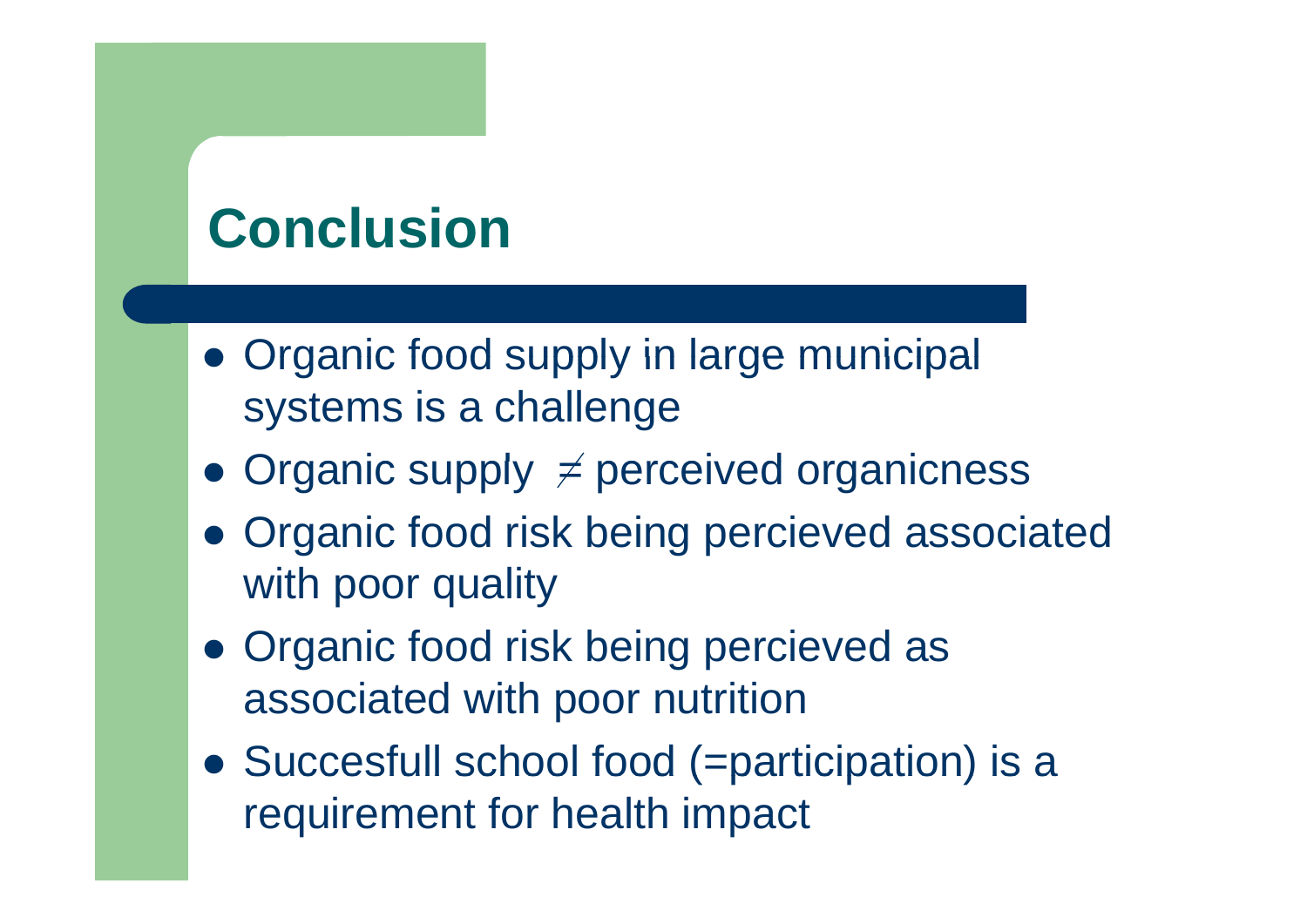## **Conclusion**

- Organic food supply in large municipal systems is a challenge
- Organic supply  $\neq$  perceived organicness
- Organic food risk being percieved associated with poor quality
- Organic food risk being percieved as associated with poor nutrition
- Succesfull school food ( = participation) is a requirement for health impact